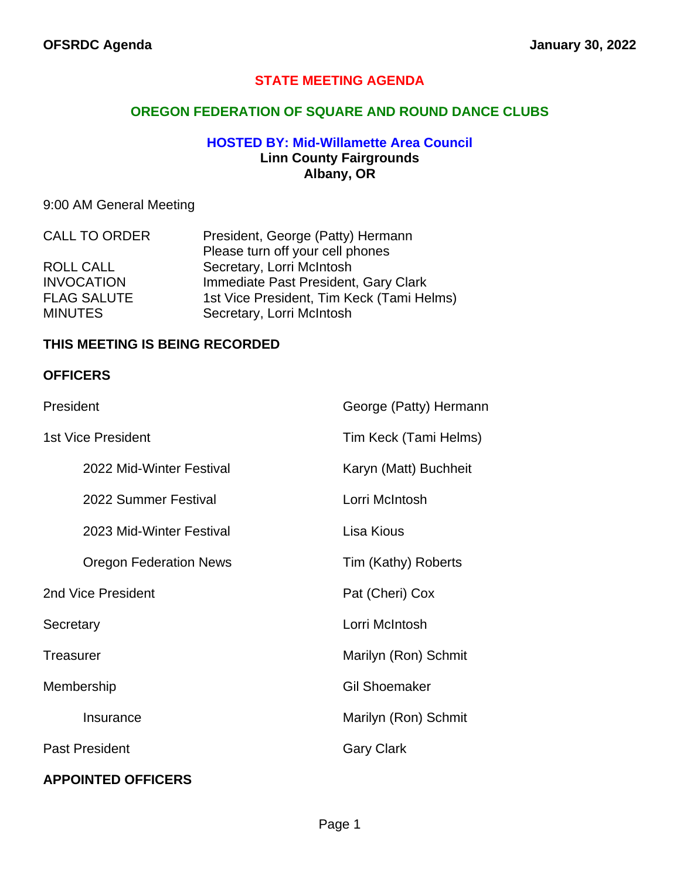# **STATE MEETING AGENDA**

## **OREGON FEDERATION OF SQUARE AND ROUND DANCE CLUBS**

#### **HOSTED BY: Mid-Willamette Area Council Linn County Fairgrounds Albany, OR**

# 9:00 AM General Meeting

| <b>CALL TO ORDER</b> | President, George (Patty) Hermann         |  |
|----------------------|-------------------------------------------|--|
|                      | Please turn off your cell phones          |  |
| ROLL CALL            | Secretary, Lorri McIntosh                 |  |
| <b>INVOCATION</b>    | Immediate Past President, Gary Clark      |  |
| <b>FLAG SALUTE</b>   | 1st Vice President, Tim Keck (Tami Helms) |  |
| <b>MINUTES</b>       | Secretary, Lorri McIntosh                 |  |

#### **THIS MEETING IS BEING RECORDED**

#### **OFFICERS**

| President                     | George (Patty) Hermann |
|-------------------------------|------------------------|
| <b>1st Vice President</b>     | Tim Keck (Tami Helms)  |
| 2022 Mid-Winter Festival      | Karyn (Matt) Buchheit  |
| 2022 Summer Festival          | Lorri McIntosh         |
| 2023 Mid-Winter Festival      | Lisa Kious             |
| <b>Oregon Federation News</b> | Tim (Kathy) Roberts    |
| 2nd Vice President            | Pat (Cheri) Cox        |
| Secretary                     | Lorri McIntosh         |
| Treasurer                     | Marilyn (Ron) Schmit   |
| Membership                    | <b>Gil Shoemaker</b>   |
| Insurance                     | Marilyn (Ron) Schmit   |
| <b>Past President</b>         | <b>Gary Clark</b>      |
| <b>APPOINTED OFFICERS</b>     |                        |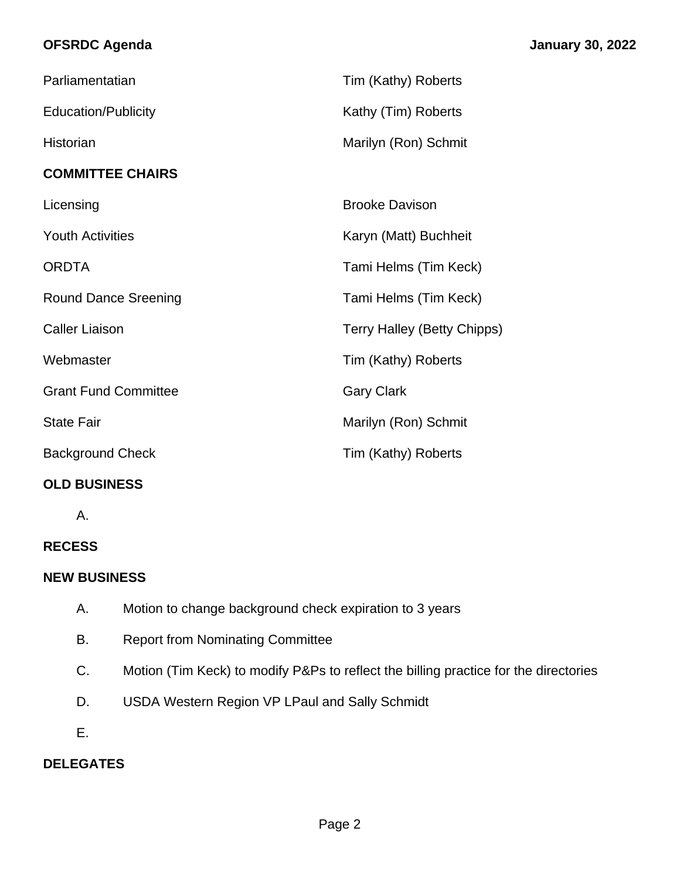# **OFSRDC Agenda January 30, 2022**

| Parliamentatian             | Tim (Kathy) Roberts                |
|-----------------------------|------------------------------------|
| <b>Education/Publicity</b>  | Kathy (Tim) Roberts                |
| Historian                   | Marilyn (Ron) Schmit               |
| <b>COMMITTEE CHAIRS</b>     |                                    |
| Licensing                   | <b>Brooke Davison</b>              |
| <b>Youth Activities</b>     | Karyn (Matt) Buchheit              |
| <b>ORDTA</b>                | Tami Helms (Tim Keck)              |
| <b>Round Dance Sreening</b> | Tami Helms (Tim Keck)              |
| <b>Caller Liaison</b>       | <b>Terry Halley (Betty Chipps)</b> |
| Webmaster                   | Tim (Kathy) Roberts                |
| <b>Grant Fund Committee</b> | <b>Gary Clark</b>                  |
| <b>State Fair</b>           | Marilyn (Ron) Schmit               |
| <b>Background Check</b>     | Tim (Kathy) Roberts                |

# **OLD BUSINESS**

A.

# **RECESS**

# **NEW BUSINESS**

- A. Motion to change background check expiration to 3 years
- B. Report from Nominating Committee
- C. Motion (Tim Keck) to modify P&Ps to reflect the billing practice for the directories
- D. USDA Western Region VP LPaul and Sally Schmidt
- E.

# **DELEGATES**